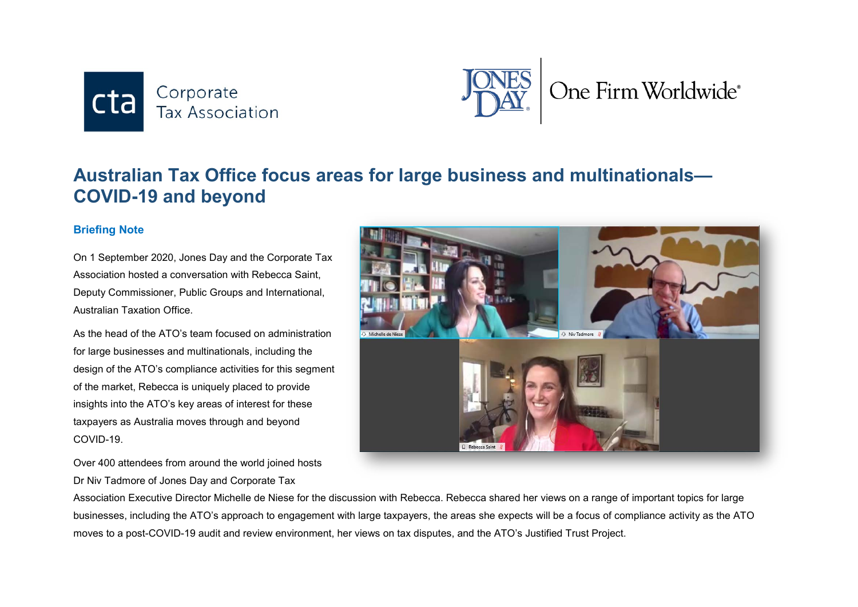



## **Australian Tax Office focus areas for large business and multinationals— COVID-19 and beyond**

## **Briefing Note**

On 1 September 2020, Jones Day and the Corporate Tax Association hosted a conversation with Rebecca Saint, Deputy Commissioner, Public Groups and International, Australian Taxation Office.

As the head of the ATO's team focused on administration for large businesses and multinationals, including the design of the ATO's compliance activities for this segment of the market, Rebecca is uniquely placed to provide insights into the ATO's key areas of interest for these taxpayers as Australia moves through and beyond COVID-19.

Over 400 attendees from around the world joined hosts Dr Niv Tadmore of Jones Day and Corporate Tax



Association Executive Director Michelle de Niese for the discussion with Rebecca. Rebecca shared her views on a range of important topics for large businesses, including the ATO's approach to engagement with large taxpayers, the areas she expects will be a focus of compliance activity as the ATO moves to a post-COVID-19 audit and review environment, her views on tax disputes, and the ATO's Justified Trust Project.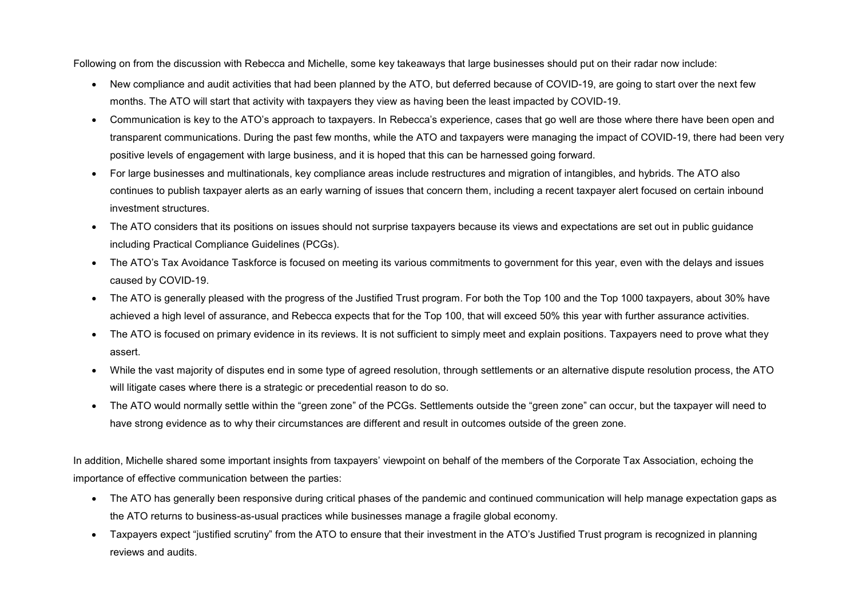Following on from the discussion with Rebecca and Michelle, some key takeaways that large businesses should put on their radar now include:

- New compliance and audit activities that had been planned by the ATO, but deferred because of COVID-19, are going to start over the next few months. The ATO will start that activity with taxpayers they view as having been the least impacted by COVID-19.
- Communication is key to the ATO's approach to taxpayers. In Rebecca's experience, cases that go well are those where there have been open and transparent communications. During the past few months, while the ATO and taxpayers were managing the impact of COVID-19, there had been very positive levels of engagement with large business, and it is hoped that this can be harnessed going forward.
- For large businesses and multinationals, key compliance areas include restructures and migration of intangibles, and hybrids. The ATO also continues to publish taxpayer alerts as an early warning of issues that concern them, including a recent taxpayer alert focused on certain inbound investment structures.
- The ATO considers that its positions on issues should not surprise taxpayers because its views and expectations are set out in public guidance including Practical Compliance Guidelines (PCGs).
- The ATO's Tax Avoidance Taskforce is focused on meeting its various commitments to government for this year, even with the delays and issues caused by COVID-19.
- The ATO is generally pleased with the progress of the Justified Trust program. For both the Top 100 and the Top 1000 taxpayers, about 30% have achieved a high level of assurance, and Rebecca expects that for the Top 100, that will exceed 50% this year with further assurance activities.
- The ATO is focused on primary evidence in its reviews. It is not sufficient to simply meet and explain positions. Taxpayers need to prove what they assert.
- While the vast majority of disputes end in some type of agreed resolution, through settlements or an alternative dispute resolution process, the ATO will litigate cases where there is a strategic or precedential reason to do so.
- The ATO would normally settle within the "green zone" of the PCGs. Settlements outside the "green zone" can occur, but the taxpayer will need to have strong evidence as to why their circumstances are different and result in outcomes outside of the green zone.

In addition, Michelle shared some important insights from taxpayers' viewpoint on behalf of the members of the Corporate Tax Association, echoing the importance of effective communication between the parties:

- The ATO has generally been responsive during critical phases of the pandemic and continued communication will help manage expectation gaps as the ATO returns to business-as-usual practices while businesses manage a fragile global economy.
- Taxpayers expect "justified scrutiny" from the ATO to ensure that their investment in the ATO's Justified Trust program is recognized in planning reviews and audits.